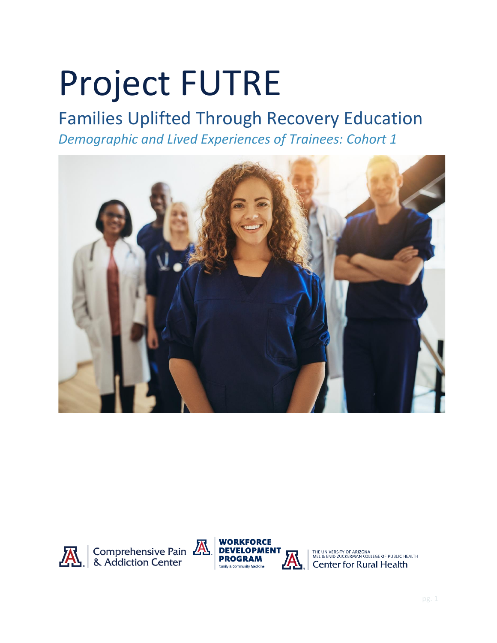# Project FUTRE

## Families Uplifted Through Recovery Education *Demographic and Lived Experiences of Trainees: Cohort 1*



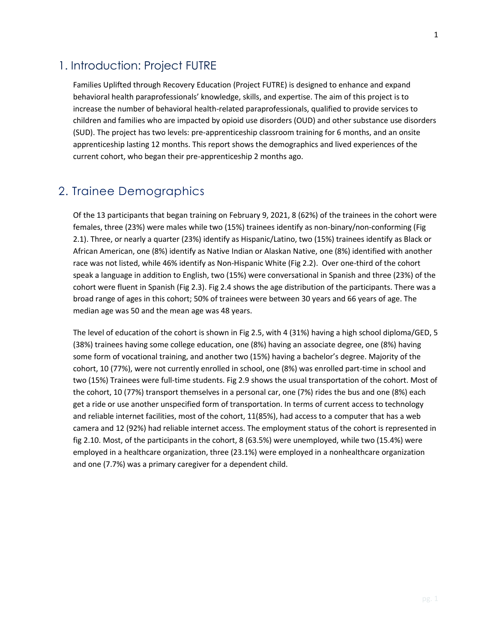Families Uplifted through Recovery Education (Project FUTRE) is designed to enhance and expand behavioral health paraprofessionals' knowledge, skills, and expertise. The aim of this project is to increase the number of behavioral health-related paraprofessionals, qualified to provide services to children and families who are impacted by opioid use disorders (OUD) and other substance use disorders (SUD). The project has two levels: pre-apprenticeship classroom training for 6 months, and an onsite apprenticeship lasting 12 months. This report shows the demographics and lived experiences of the current cohort, who began their pre-apprenticeship 2 months ago.

## 2. Trainee Demographics

Of the 13 participants that began training on February 9, 2021, 8 (62%) of the trainees in the cohort were females, three (23%) were males while two (15%) trainees identify as non-binary/non-conforming (Fig 2.1). Three, or nearly a quarter (23%) identify as Hispanic/Latino, two (15%) trainees identify as Black or African American, one (8%) identify as Native Indian or Alaskan Native, one (8%) identified with another race was not listed, while 46% identify as Non-Hispanic White (Fig 2.2). Over one-third of the cohort speak a language in addition to English, two (15%) were conversational in Spanish and three (23%) of the cohort were fluent in Spanish (Fig 2.3). Fig 2.4 shows the age distribution of the participants. There was a broad range of ages in this cohort; 50% of trainees were between 30 years and 66 years of age. The median age was 50 and the mean age was 48 years.

The level of education of the cohort is shown in Fig 2.5, with 4 (31%) having a high school diploma/GED, 5 (38%) trainees having some college education, one (8%) having an associate degree, one (8%) having some form of vocational training, and another two (15%) having a bachelor's degree. Majority of the cohort, 10 (77%), were not currently enrolled in school, one (8%) was enrolled part-time in school and two (15%) Trainees were full-time students. Fig 2.9 shows the usual transportation of the cohort. Most of the cohort, 10 (77%) transport themselves in a personal car, one (7%) rides the bus and one (8%) each get a ride or use another unspecified form of transportation. In terms of current access to technology and reliable internet facilities, most of the cohort, 11(85%), had access to a computer that has a web camera and 12 (92%) had reliable internet access. The employment status of the cohort is represented in fig 2.10. Most, of the participants in the cohort, 8 (63.5%) were unemployed, while two (15.4%) were employed in a healthcare organization, three (23.1%) were employed in a nonhealthcare organization and one (7.7%) was a primary caregiver for a dependent child.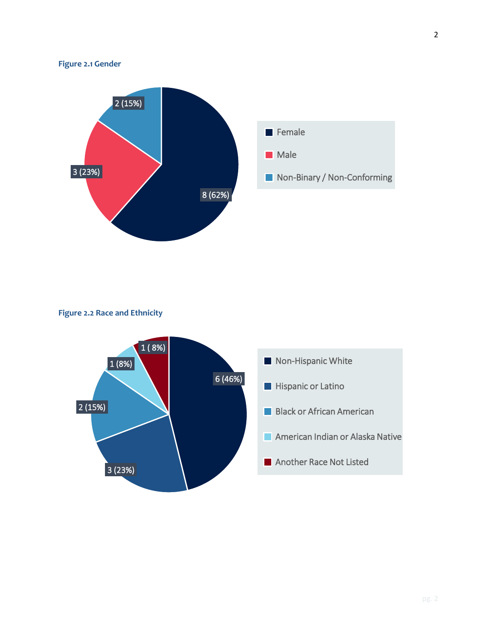#### **Figure 2.1 Gender**



#### **Figure 2.2 Race and Ethnicity**

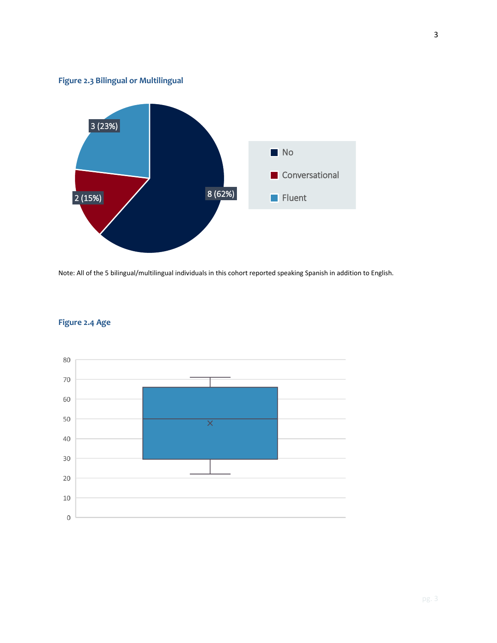



Note: All of the 5 bilingual/multilingual individuals in this cohort reported speaking Spanish in addition to English.



#### **Figure 2.4 Age**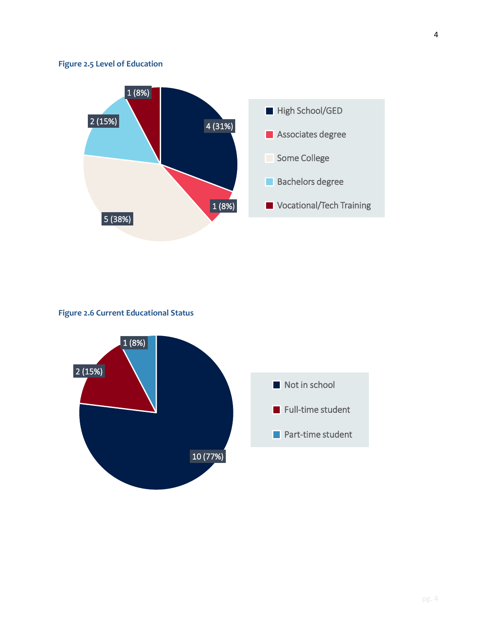#### **Figure 2.5 Level of Education**



#### **Figure 2.6 Current Educational Status**

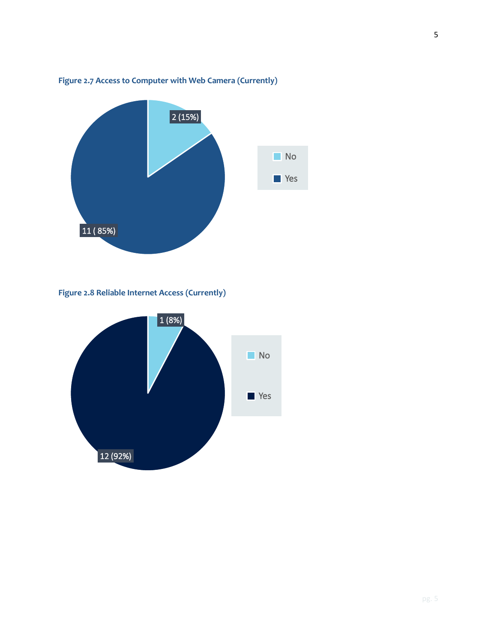

#### **Figure 2.7 Access to Computer with Web Camera (Currently)**

**Figure 2.8 Reliable Internet Access (Currently)**

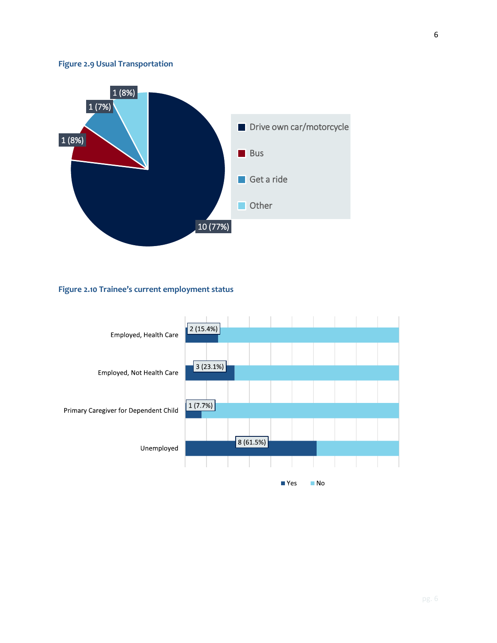#### **Figure 2.9 Usual Transportation**



#### **Figure 2.10 Trainee's current employment status**

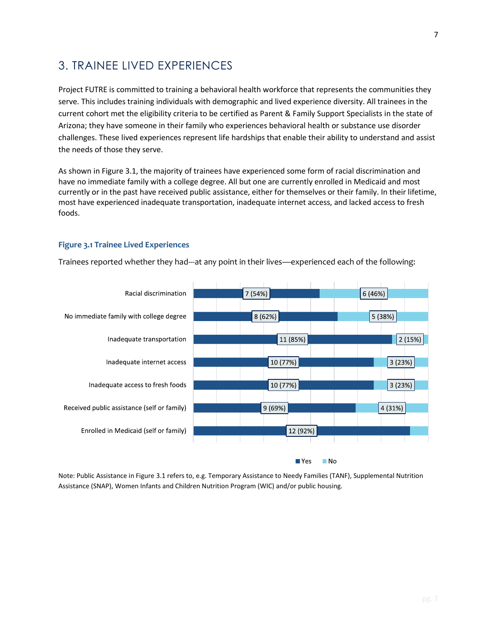### 3. TRAINEE LIVED EXPERIENCES

Project FUTRE is committed to training a behavioral health workforce that represents the communities they serve. This includes training individuals with demographic and lived experience diversity. All trainees in the current cohort met the eligibility criteria to be certified as Parent & Family Support Specialists in the state of Arizona; they have someone in their family who experiences behavioral health or substance use disorder challenges. These lived experiences represent life hardships that enable their ability to understand and assist the needs of those they serve.

As shown in Figure 3.1, the majority of trainees have experienced some form of racial discrimination and have no immediate family with a college degree. All but one are currently enrolled in Medicaid and most currently or in the past have received public assistance, either for themselves or their family. In their lifetime, most have experienced inadequate transportation, inadequate internet access, and lacked access to fresh foods.

#### **Figure 3.1 Trainee Lived Experiences**

Trainees reported whether they had---at any point in their lives—experienced each of the following:



Note: Public Assistance in Figure 3.1 refers to, e.g. Temporary Assistance to Needy Families (TANF), Supplemental Nutrition Assistance (SNAP), Women Infants and Children Nutrition Program (WIC) and/or public housing.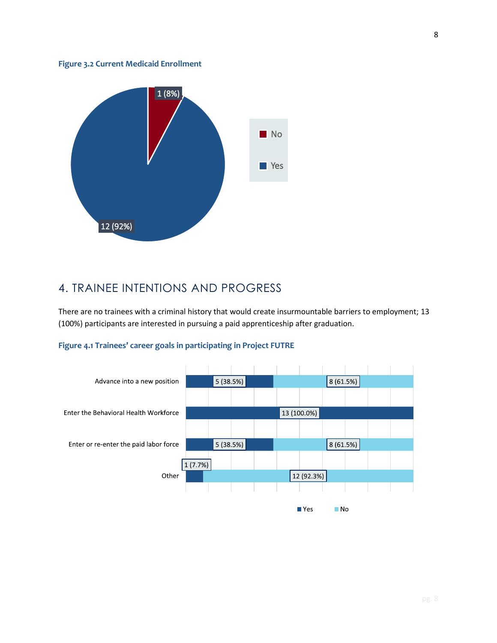#### **Figure 3.2 Current Medicaid Enrollment**



## 4. TRAINEE INTENTIONS AND PROGRESS

There are no trainees with a criminal history that would create insurmountable barriers to employment; 13 (100%) participants are interested in pursuing a paid apprenticeship after graduation.



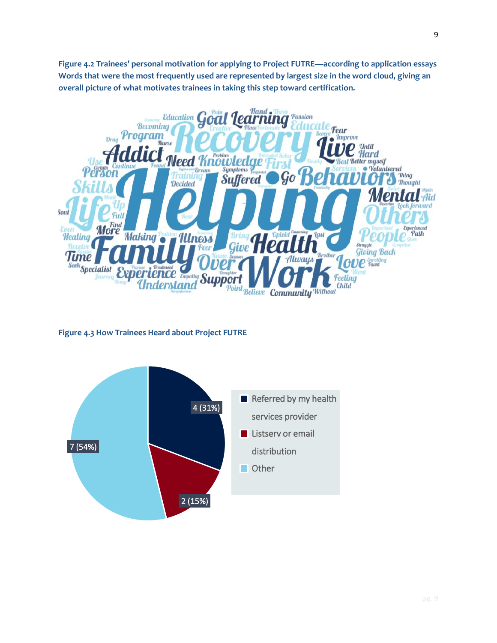**Figure 4.2 Trainees' personal motivation for applying to Project FUTRE—according to application essays Words that were the most frequently used are represented by largest size in the word cloud, giving an overall picture of what motivates trainees in taking this step toward certification.** 



**Figure 4.3 How Trainees Heard about Project FUTRE** 



9